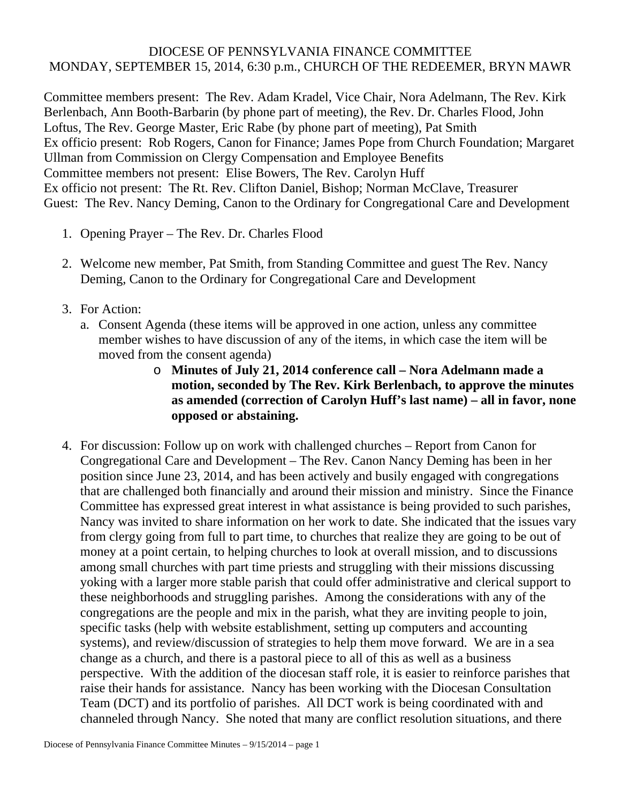## DIOCESE OF PENNSYLVANIA FINANCE COMMITTEE MONDAY, SEPTEMBER 15, 2014, 6:30 p.m., CHURCH OF THE REDEEMER, BRYN MAWR

Committee members present: The Rev. Adam Kradel, Vice Chair, Nora Adelmann, The Rev. Kirk Berlenbach, Ann Booth-Barbarin (by phone part of meeting), the Rev. Dr. Charles Flood, John Loftus, The Rev. George Master, Eric Rabe (by phone part of meeting), Pat Smith Ex officio present: Rob Rogers, Canon for Finance; James Pope from Church Foundation; Margaret Ullman from Commission on Clergy Compensation and Employee Benefits Committee members not present: Elise Bowers, The Rev. Carolyn Huff Ex officio not present: The Rt. Rev. Clifton Daniel, Bishop; Norman McClave, Treasurer Guest: The Rev. Nancy Deming, Canon to the Ordinary for Congregational Care and Development

- 1. Opening Prayer The Rev. Dr. Charles Flood
- 2. Welcome new member, Pat Smith, from Standing Committee and guest The Rev. Nancy Deming, Canon to the Ordinary for Congregational Care and Development
- 3. For Action:
	- a. Consent Agenda (these items will be approved in one action, unless any committee member wishes to have discussion of any of the items, in which case the item will be moved from the consent agenda)
		- o **Minutes of July 21, 2014 conference call Nora Adelmann made a motion, seconded by The Rev. Kirk Berlenbach, to approve the minutes as amended (correction of Carolyn Huff's last name) – all in favor, none opposed or abstaining.**
- 4. For discussion: Follow up on work with challenged churches Report from Canon for Congregational Care and Development – The Rev. Canon Nancy Deming has been in her position since June 23, 2014, and has been actively and busily engaged with congregations that are challenged both financially and around their mission and ministry. Since the Finance Committee has expressed great interest in what assistance is being provided to such parishes, Nancy was invited to share information on her work to date. She indicated that the issues vary from clergy going from full to part time, to churches that realize they are going to be out of money at a point certain, to helping churches to look at overall mission, and to discussions among small churches with part time priests and struggling with their missions discussing yoking with a larger more stable parish that could offer administrative and clerical support to these neighborhoods and struggling parishes. Among the considerations with any of the congregations are the people and mix in the parish, what they are inviting people to join, specific tasks (help with website establishment, setting up computers and accounting systems), and review/discussion of strategies to help them move forward. We are in a sea change as a church, and there is a pastoral piece to all of this as well as a business perspective. With the addition of the diocesan staff role, it is easier to reinforce parishes that raise their hands for assistance. Nancy has been working with the Diocesan Consultation Team (DCT) and its portfolio of parishes. All DCT work is being coordinated with and channeled through Nancy. She noted that many are conflict resolution situations, and there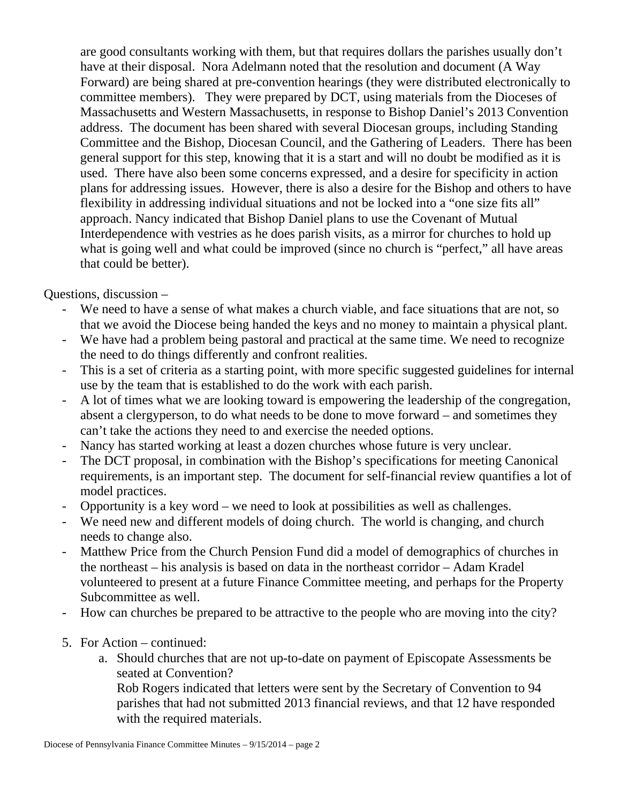are good consultants working with them, but that requires dollars the parishes usually don't have at their disposal. Nora Adelmann noted that the resolution and document (A Way Forward) are being shared at pre-convention hearings (they were distributed electronically to committee members). They were prepared by DCT, using materials from the Dioceses of Massachusetts and Western Massachusetts, in response to Bishop Daniel's 2013 Convention address. The document has been shared with several Diocesan groups, including Standing Committee and the Bishop, Diocesan Council, and the Gathering of Leaders. There has been general support for this step, knowing that it is a start and will no doubt be modified as it is used. There have also been some concerns expressed, and a desire for specificity in action plans for addressing issues. However, there is also a desire for the Bishop and others to have flexibility in addressing individual situations and not be locked into a "one size fits all" approach. Nancy indicated that Bishop Daniel plans to use the Covenant of Mutual Interdependence with vestries as he does parish visits, as a mirror for churches to hold up what is going well and what could be improved (since no church is "perfect," all have areas that could be better).

Questions, discussion –

- We need to have a sense of what makes a church viable, and face situations that are not, so that we avoid the Diocese being handed the keys and no money to maintain a physical plant.
- We have had a problem being pastoral and practical at the same time. We need to recognize the need to do things differently and confront realities.
- This is a set of criteria as a starting point, with more specific suggested guidelines for internal use by the team that is established to do the work with each parish.
- A lot of times what we are looking toward is empowering the leadership of the congregation, absent a clergyperson, to do what needs to be done to move forward – and sometimes they can't take the actions they need to and exercise the needed options.
- Nancy has started working at least a dozen churches whose future is very unclear.
- The DCT proposal, in combination with the Bishop's specifications for meeting Canonical requirements, is an important step. The document for self-financial review quantifies a lot of model practices.
- Opportunity is a key word we need to look at possibilities as well as challenges.
- We need new and different models of doing church. The world is changing, and church needs to change also.
- Matthew Price from the Church Pension Fund did a model of demographics of churches in the northeast – his analysis is based on data in the northeast corridor – Adam Kradel volunteered to present at a future Finance Committee meeting, and perhaps for the Property Subcommittee as well.
- How can churches be prepared to be attractive to the people who are moving into the city?
- 5. For Action continued:
	- a. Should churches that are not up-to-date on payment of Episcopate Assessments be seated at Convention?

Rob Rogers indicated that letters were sent by the Secretary of Convention to 94 parishes that had not submitted 2013 financial reviews, and that 12 have responded with the required materials.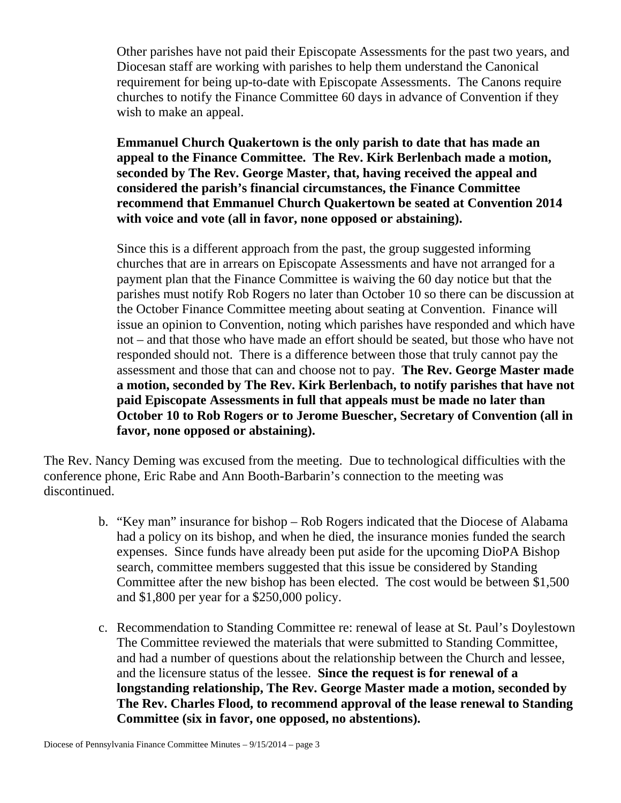Other parishes have not paid their Episcopate Assessments for the past two years, and Diocesan staff are working with parishes to help them understand the Canonical requirement for being up-to-date with Episcopate Assessments. The Canons require churches to notify the Finance Committee 60 days in advance of Convention if they wish to make an appeal.

**Emmanuel Church Quakertown is the only parish to date that has made an appeal to the Finance Committee. The Rev. Kirk Berlenbach made a motion, seconded by The Rev. George Master, that, having received the appeal and considered the parish's financial circumstances, the Finance Committee recommend that Emmanuel Church Quakertown be seated at Convention 2014 with voice and vote (all in favor, none opposed or abstaining).** 

Since this is a different approach from the past, the group suggested informing churches that are in arrears on Episcopate Assessments and have not arranged for a payment plan that the Finance Committee is waiving the 60 day notice but that the parishes must notify Rob Rogers no later than October 10 so there can be discussion at the October Finance Committee meeting about seating at Convention. Finance will issue an opinion to Convention, noting which parishes have responded and which have not – and that those who have made an effort should be seated, but those who have not responded should not. There is a difference between those that truly cannot pay the assessment and those that can and choose not to pay. **The Rev. George Master made a motion, seconded by The Rev. Kirk Berlenbach, to notify parishes that have not paid Episcopate Assessments in full that appeals must be made no later than October 10 to Rob Rogers or to Jerome Buescher, Secretary of Convention (all in favor, none opposed or abstaining).** 

The Rev. Nancy Deming was excused from the meeting. Due to technological difficulties with the conference phone, Eric Rabe and Ann Booth-Barbarin's connection to the meeting was discontinued.

- b. "Key man" insurance for bishop Rob Rogers indicated that the Diocese of Alabama had a policy on its bishop, and when he died, the insurance monies funded the search expenses. Since funds have already been put aside for the upcoming DioPA Bishop search, committee members suggested that this issue be considered by Standing Committee after the new bishop has been elected. The cost would be between \$1,500 and \$1,800 per year for a \$250,000 policy.
- c. Recommendation to Standing Committee re: renewal of lease at St. Paul's Doylestown The Committee reviewed the materials that were submitted to Standing Committee, and had a number of questions about the relationship between the Church and lessee, and the licensure status of the lessee. **Since the request is for renewal of a longstanding relationship, The Rev. George Master made a motion, seconded by The Rev. Charles Flood, to recommend approval of the lease renewal to Standing Committee (six in favor, one opposed, no abstentions).**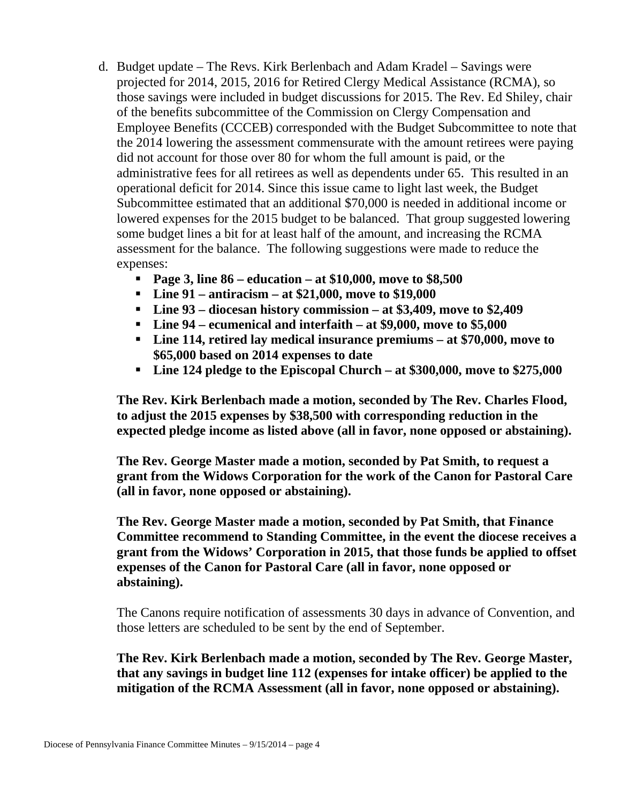- d. Budget update The Revs. Kirk Berlenbach and Adam Kradel Savings were projected for 2014, 2015, 2016 for Retired Clergy Medical Assistance (RCMA), so those savings were included in budget discussions for 2015. The Rev. Ed Shiley, chair of the benefits subcommittee of the Commission on Clergy Compensation and Employee Benefits (CCCEB) corresponded with the Budget Subcommittee to note that the 2014 lowering the assessment commensurate with the amount retirees were paying did not account for those over 80 for whom the full amount is paid, or the administrative fees for all retirees as well as dependents under 65. This resulted in an operational deficit for 2014. Since this issue came to light last week, the Budget Subcommittee estimated that an additional \$70,000 is needed in additional income or lowered expenses for the 2015 budget to be balanced. That group suggested lowering some budget lines a bit for at least half of the amount, and increasing the RCMA assessment for the balance. The following suggestions were made to reduce the expenses:
	- **Page 3, line 86 education at \$10,000, move to \$8,500**
	- **Line 91 antiracism at \$21,000, move to \$19,000**
	- **Line 93 diocesan history commission at \$3,409, move to \$2,409**
	- **Line 94 ecumenical and interfaith at \$9,000, move to \$5,000**
	- **Line 114, retired lay medical insurance premiums at \$70,000, move to \$65,000 based on 2014 expenses to date**
	- **Line 124 pledge to the Episcopal Church at \$300,000, move to \$275,000**

**The Rev. Kirk Berlenbach made a motion, seconded by The Rev. Charles Flood, to adjust the 2015 expenses by \$38,500 with corresponding reduction in the expected pledge income as listed above (all in favor, none opposed or abstaining).** 

**The Rev. George Master made a motion, seconded by Pat Smith, to request a grant from the Widows Corporation for the work of the Canon for Pastoral Care (all in favor, none opposed or abstaining).** 

**The Rev. George Master made a motion, seconded by Pat Smith, that Finance Committee recommend to Standing Committee, in the event the diocese receives a grant from the Widows' Corporation in 2015, that those funds be applied to offset expenses of the Canon for Pastoral Care (all in favor, none opposed or abstaining).** 

The Canons require notification of assessments 30 days in advance of Convention, and those letters are scheduled to be sent by the end of September.

**The Rev. Kirk Berlenbach made a motion, seconded by The Rev. George Master, that any savings in budget line 112 (expenses for intake officer) be applied to the mitigation of the RCMA Assessment (all in favor, none opposed or abstaining).**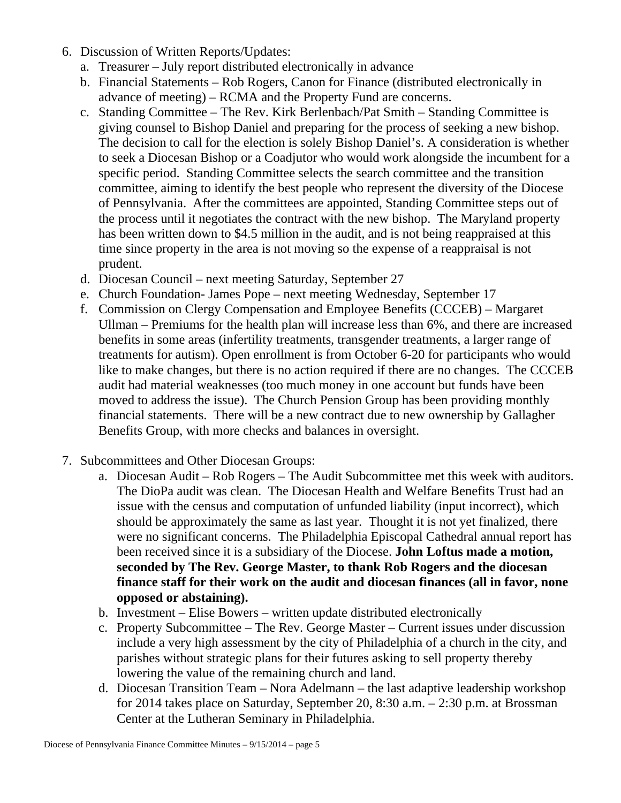- 6. Discussion of Written Reports/Updates:
	- a. Treasurer July report distributed electronically in advance
	- b. Financial Statements Rob Rogers, Canon for Finance (distributed electronically in advance of meeting) – RCMA and the Property Fund are concerns.
	- c. Standing Committee The Rev. Kirk Berlenbach/Pat Smith Standing Committee is giving counsel to Bishop Daniel and preparing for the process of seeking a new bishop. The decision to call for the election is solely Bishop Daniel's. A consideration is whether to seek a Diocesan Bishop or a Coadjutor who would work alongside the incumbent for a specific period. Standing Committee selects the search committee and the transition committee, aiming to identify the best people who represent the diversity of the Diocese of Pennsylvania. After the committees are appointed, Standing Committee steps out of the process until it negotiates the contract with the new bishop. The Maryland property has been written down to \$4.5 million in the audit, and is not being reappraised at this time since property in the area is not moving so the expense of a reappraisal is not prudent.
	- d. Diocesan Council next meeting Saturday, September 27
	- e. Church Foundation- James Pope next meeting Wednesday, September 17
	- f. Commission on Clergy Compensation and Employee Benefits (CCCEB) Margaret Ullman – Premiums for the health plan will increase less than 6%, and there are increased benefits in some areas (infertility treatments, transgender treatments, a larger range of treatments for autism). Open enrollment is from October 6-20 for participants who would like to make changes, but there is no action required if there are no changes. The CCCEB audit had material weaknesses (too much money in one account but funds have been moved to address the issue). The Church Pension Group has been providing monthly financial statements. There will be a new contract due to new ownership by Gallagher Benefits Group, with more checks and balances in oversight.
- 7. Subcommittees and Other Diocesan Groups:
	- a. Diocesan Audit Rob Rogers The Audit Subcommittee met this week with auditors. The DioPa audit was clean. The Diocesan Health and Welfare Benefits Trust had an issue with the census and computation of unfunded liability (input incorrect), which should be approximately the same as last year. Thought it is not yet finalized, there were no significant concerns. The Philadelphia Episcopal Cathedral annual report has been received since it is a subsidiary of the Diocese. **John Loftus made a motion, seconded by The Rev. George Master, to thank Rob Rogers and the diocesan finance staff for their work on the audit and diocesan finances (all in favor, none opposed or abstaining).**
	- b. Investment Elise Bowers written update distributed electronically
	- c. Property Subcommittee The Rev. George Master Current issues under discussion include a very high assessment by the city of Philadelphia of a church in the city, and parishes without strategic plans for their futures asking to sell property thereby lowering the value of the remaining church and land.
	- d. Diocesan Transition Team Nora Adelmann the last adaptive leadership workshop for 2014 takes place on Saturday, September 20, 8:30 a.m. – 2:30 p.m. at Brossman Center at the Lutheran Seminary in Philadelphia.